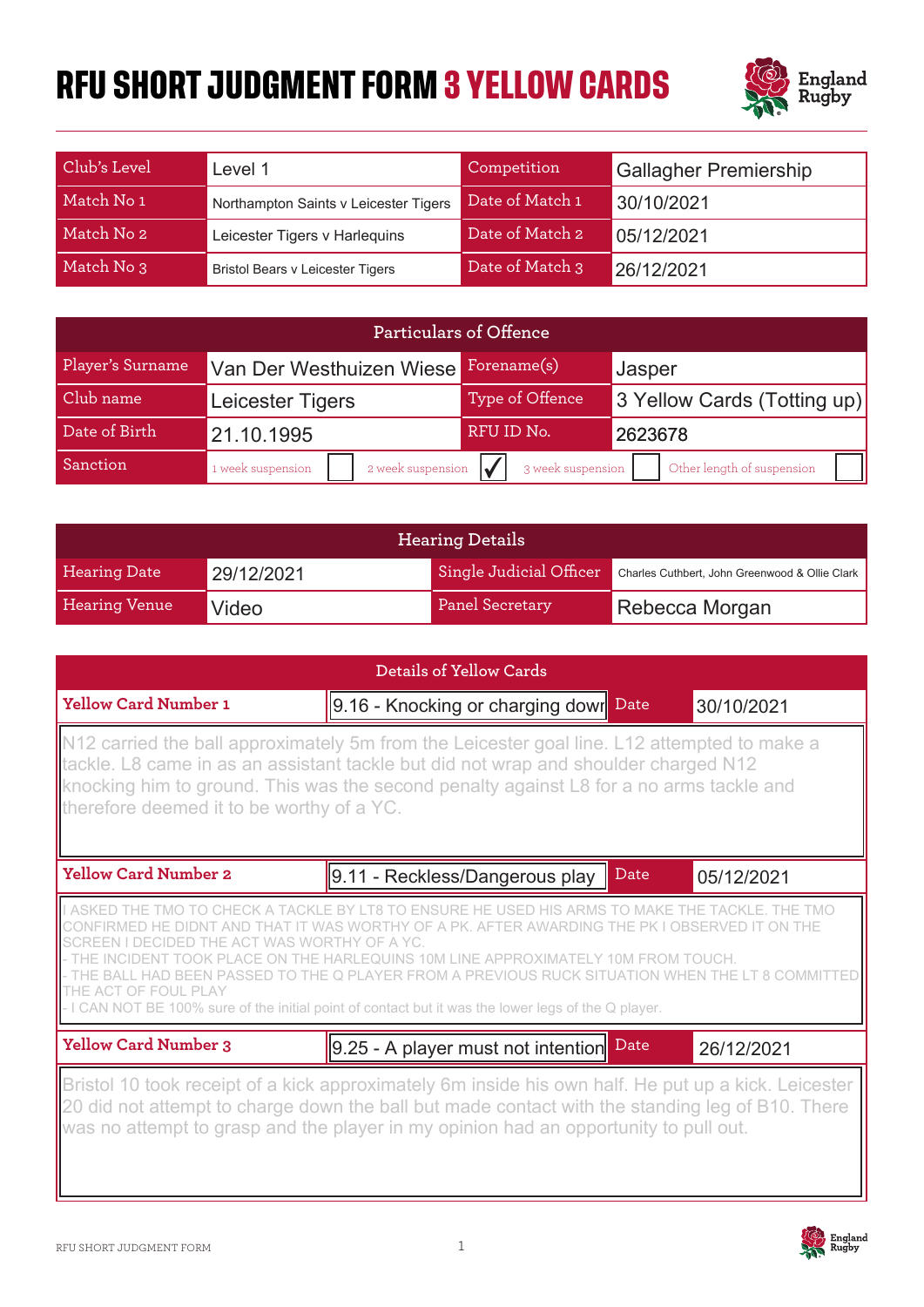## **RFU SHORT JUDGMENT FORM 3 YELLOW CARDS**



| Club's Level | Level 1                                 | Competition     | <b>Gallagher Premiership</b> |
|--------------|-----------------------------------------|-----------------|------------------------------|
| Match No 1   | Northampton Saints v Leicester Tigers   | Date of Match 1 | 30/10/2021                   |
| Match No 2   | Leicester Tigers v Harlequins           | Date of Match 2 | 05/12/2021                   |
| Match No 3   | <b>Bristol Bears v Leicester Tigers</b> | Date of Match 3 | 26/12/2021                   |

| Particulars of Offence |                                        |                   |                             |
|------------------------|----------------------------------------|-------------------|-----------------------------|
| Player's Surname       | Van Der Westhuizen Wiese               | Forename(s)       | Jasper                      |
| Club name              | Leicester Tigers                       | Type of Offence   | 3 Yellow Cards (Totting up) |
| Date of Birth          | 21.10.1995                             | RFU ID No.        | 2623678                     |
| Sanction               | 2 week suspension<br>1 week suspension | 3 week suspension | Other length of suspension  |

| <b>Hearing Details</b> |            |                         |                                                |
|------------------------|------------|-------------------------|------------------------------------------------|
| <b>Hearing Date</b>    | 29/12/2021 | Single Judicial Officer | Charles Cuthbert, John Greenwood & Ollie Clark |
| <b>Hearing Venue</b>   | Video      | Panel Secretary         | Rebecca Morgan                                 |

| Details of Yellow Cards                                                                                                                                                                                                                                                                                                    |                                                                                                                                                                                                                                                                                                                                                            |      |            |  |
|----------------------------------------------------------------------------------------------------------------------------------------------------------------------------------------------------------------------------------------------------------------------------------------------------------------------------|------------------------------------------------------------------------------------------------------------------------------------------------------------------------------------------------------------------------------------------------------------------------------------------------------------------------------------------------------------|------|------------|--|
| <b>Yellow Card Number 1</b>                                                                                                                                                                                                                                                                                                | $9.16$ - Knocking or charging dowr                                                                                                                                                                                                                                                                                                                         | Date | 30/10/2021 |  |
| N12 carried the ball approximately 5m from the Leicester goal line. L12 attempted to make a<br>tackle. L8 came in as an assistant tackle but did not wrap and shoulder charged N12<br>knocking him to ground. This was the second penalty against L8 for a no arms tackle and<br>therefore deemed it to be worthy of a YC. |                                                                                                                                                                                                                                                                                                                                                            |      |            |  |
| <b>Yellow Card Number 2</b>                                                                                                                                                                                                                                                                                                | 9.11 - Reckless/Dangerous play                                                                                                                                                                                                                                                                                                                             | Date | 05/12/2021 |  |
| THE ACT WAS WORTHY<br>THE ACT OF FOUL PLAY                                                                                                                                                                                                                                                                                 | THE TMO TO CHECK A TACKLE BY LT8 TO ENSURE HE USED HIS ARMS TO MAKE THE TACKL<br>WAS WORTHY OF A PK. AFTER AWARDING THE PK LOBSERVED<br>OF A YC.<br>EQUINS 10M LINE APPROXIMATELY 10M FROM TOUCH.<br>ASSED TO THE Q PLAYER FROM A PREVIOUS RUCK SIT<br>- I CAN NOT BE 100% sure of the initial point of contact but it was the lower legs of the Q player. |      |            |  |
| <b>Yellow Card Number 3</b>                                                                                                                                                                                                                                                                                                | 9.25 - A player must not intention                                                                                                                                                                                                                                                                                                                         | Date | 26/12/2021 |  |
|                                                                                                                                                                                                                                                                                                                            | Bristol 10 took receipt of a kick approximately 6m inside his own half. He put up a kick. Leicester<br>20 did not attempt to charge down the ball but made contact with the standing leg of B10. There<br>was no attempt to grasp and the player in my opinion had an opportunity to pull out.                                                             |      |            |  |